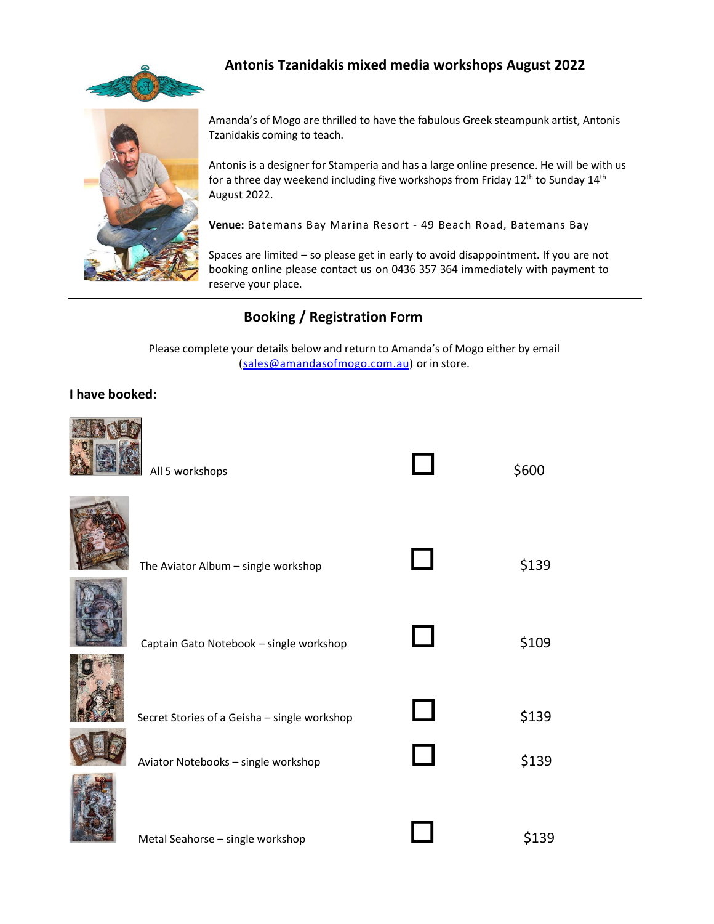



## **Antonis Tzanidakis mixed media workshops August 2022**

Amanda's of Mogo are thrilled to have the fabulous Greek steampunk artist, Antonis Tzanidakis coming to teach.

Antonis is a designer for Stamperia and has a large online presence. He will be with us for a three day weekend including five workshops from Friday  $12<sup>th</sup>$  to Sunday  $14<sup>th</sup>$ August 2022.

**Venue:** Batemans Bay Marina Resort - 49 Beach Road, Batemans Bay

Spaces are limited – so please get in early to avoid disappointment. If you are not booking online please contact us on 0436 357 364 immediately with payment to reserve your place.

# **Booking / Registration Form**

Please complete your details below and return to Amanda's of Mogo either by email (sales@amandasofmogo.com.au) or in store.

#### **I have booked:**



| All 5 workshops                                                                     |                        | \$600          |
|-------------------------------------------------------------------------------------|------------------------|----------------|
| The Aviator Album - single workshop                                                 |                        | \$139          |
| Captain Gato Notebook - single workshop                                             |                        | \$109          |
| Secret Stories of a Geisha - single workshop<br>Aviator Notebooks - single workshop | $\Box$<br>$\mathbf{I}$ | \$139<br>\$139 |
| Metal Seahorse - single workshop                                                    |                        | \$139          |